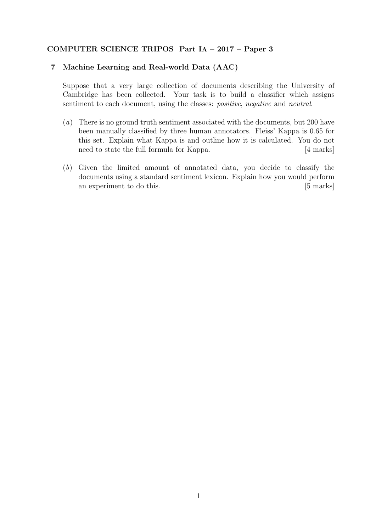## COMPUTER SCIENCE TRIPOS Part IA – 2017 – Paper 3

## 7 Machine Learning and Real-world Data (AAC)

Suppose that a very large collection of documents describing the University of Cambridge has been collected. Your task is to build a classifier which assigns sentiment to each document, using the classes: *positive*, *negative* and *neutral*.

- (a) There is no ground truth sentiment associated with the documents, but 200 have been manually classified by three human annotators. Fleiss' Kappa is 0.65 for this set. Explain what Kappa is and outline how it is calculated. You do not need to state the full formula for Kappa. [4 marks]
- (b) Given the limited amount of annotated data, you decide to classify the documents using a standard sentiment lexicon. Explain how you would perform an experiment to do this. [5 marks]